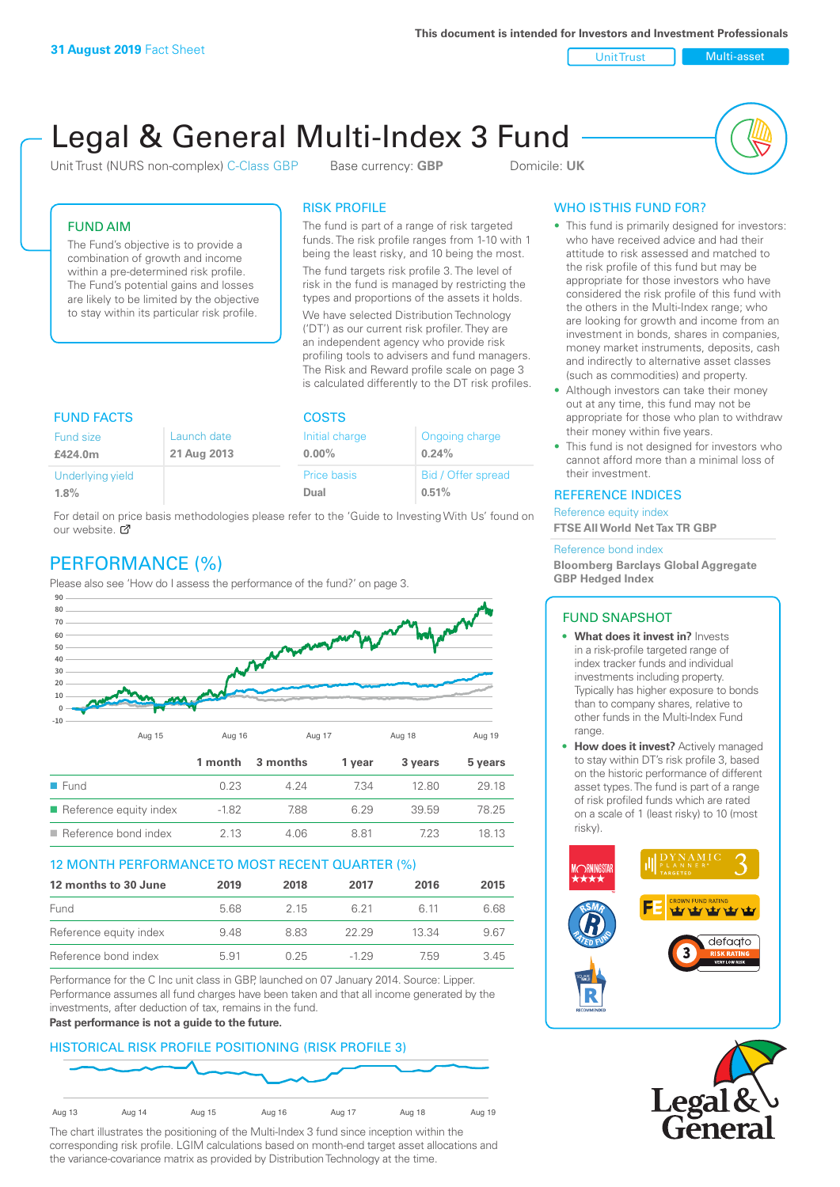Unit Trust Nulti-asset

# Legal & General Multi-Index 3 Fund

Unit Trust (NURS non-complex) C-Class GBP Base currency: **GBP** Domicile: UK



### FUND AIM

The Fund's objective is to provide a combination of growth and income within a pre-determined risk profile. The Fund's potential gains and losses are likely to be limited by the objective to stay within its particular risk profile.

### RISK PROFILE

The fund is part of a range of risk targeted funds. The risk profile ranges from 1-10 with 1 being the least risky, and 10 being the most.

The fund targets risk profile 3. The level of risk in the fund is managed by restricting the types and proportions of the assets it holds. We have selected Distribution Technology ('DT') as our current risk profiler. They are an independent agency who provide risk profiling tools to advisers and fund managers. The Risk and Reward profile scale on page 3 is calculated differently to the DT risk profiles.

| <b>FUND FACTS</b> |             | <b>COSTS</b>   |                    |  |
|-------------------|-------------|----------------|--------------------|--|
| Fund size         | Launch date | Initial charge | Ongoing charge     |  |
| £424.0m           | 21 Aug 2013 | $0.00\%$       | 0.24%              |  |
| Underlying yield  |             | Price basis    | Bid / Offer spread |  |
| 1.8%              |             | Dual           | 0.51%              |  |

For detail on price basis methodologies please refer to the 'Guide to Investing With Us' found on our website. Ø

# PERFORMANCE (%)

Please also see 'How do I assess the performance of the fund?' on page 3.



### 12 MONTH PERFORMANCE TO MOST RECENT QUARTER (%)

| 12 months to 30 June   | 2019 | 2018 | 2017   | 2016  | 2015 |
|------------------------|------|------|--------|-------|------|
| Fund                   | 5.68 | 2 15 | 6.21   | 6 11  | 6.68 |
| Reference equity index | 9.48 | 883  | 22.29  | 13.34 | 9.67 |
| Reference bond index   | 5.91 | 0.25 | $-129$ | 759   | 3.45 |

Performance for the C Inc unit class in GBP, launched on 07 January 2014. Source: Lipper. Performance assumes all fund charges have been taken and that all income generated by the investments, after deduction of tax, remains in the fund.

#### **Past performance is not a guide to the future.**

### HISTORICAL RISK PROFILE POSITIONING (RISK PROFILE 3)



The chart illustrates the positioning of the Multi-Index 3 fund since inception within the corresponding risk profile. LGIM calculations based on month-end target asset allocations and the variance-covariance matrix as provided by Distribution Technology at the time.

### WHO IS THIS FUND FOR?

- This fund is primarily designed for investors: who have received advice and had their attitude to risk assessed and matched to the risk profile of this fund but may be appropriate for those investors who have considered the risk profile of this fund with the others in the Multi-Index range; who are looking for growth and income from an investment in bonds, shares in companies, money market instruments, deposits, cash and indirectly to alternative asset classes (such as commodities) and property.
- Although investors can take their money out at any time, this fund may not be appropriate for those who plan to withdraw their money within five years.
- This fund is not designed for investors who cannot afford more than a minimal loss of their investment.

### REFERENCE INDICES

Reference equity index **FTSE All World Net Tax TR GBP**

#### Reference bond index

**Bloomberg Barclays Global Aggregate GBP Hedged Index**

### FUND SNAPSHOT

- **• What does it invest in?** Invests in a risk-profile targeted range of index tracker funds and individual investments including property. Typically has higher exposure to bonds than to company shares, relative to other funds in the Multi-Index Fund range.
- **• How does it invest?** Actively managed to stay within DT's risk profile 3, based on the historic performance of different asset types. The fund is part of a range of risk profiled funds which are rated on a scale of 1 (least risky) to 10 (most risky).



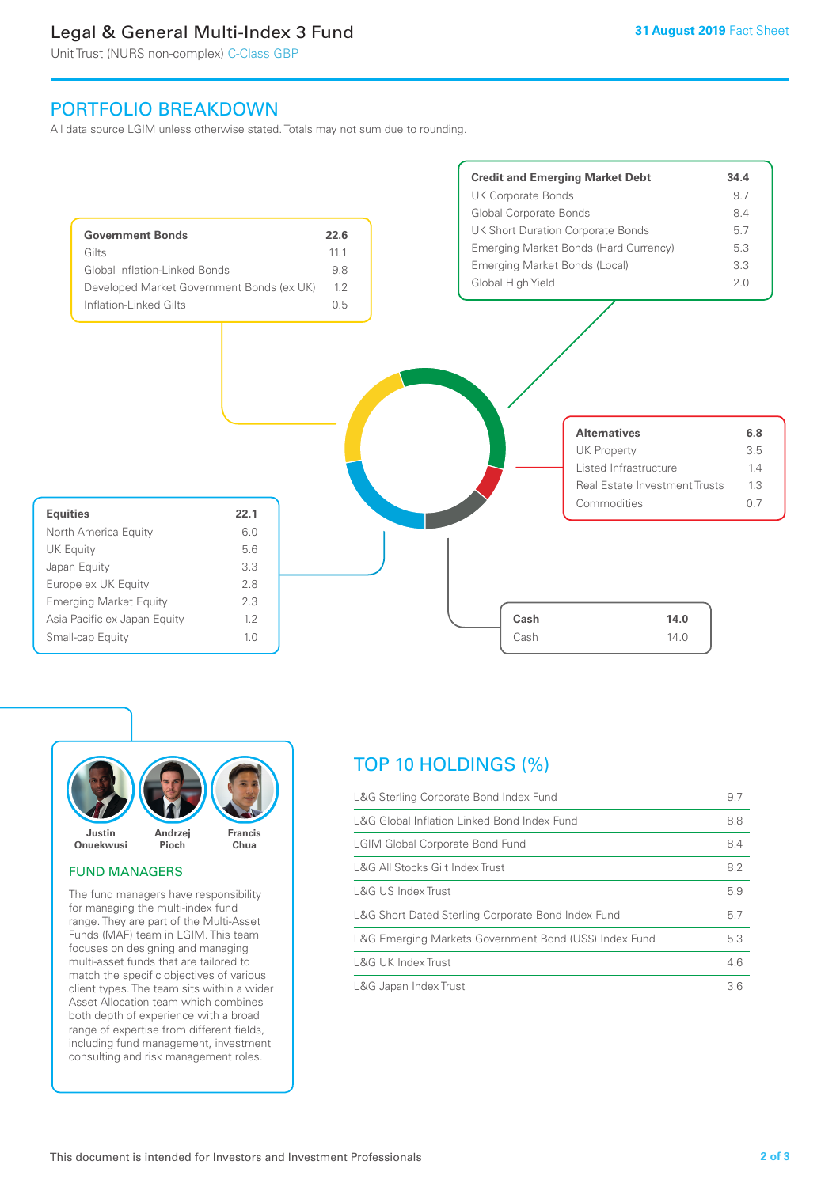# Legal & General Multi-Index 3 Fund

Unit Trust (NURS non-complex) C-Class GBP

# PORTFOLIO BREAKDOWN

All data source LGIM unless otherwise stated. Totals may not sum due to rounding.





### FUND MANAGERS

The fund managers have responsibility for managing the multi-index fund range. They are part of the Multi-Asset Funds (MAF) team in LGIM. This team focuses on designing and managing multi-asset funds that are tailored to match the specific objectives of various client types. The team sits within a wider Asset Allocation team which combines both depth of experience with a broad range of expertise from different fields, including fund management, investment consulting and risk management roles.

# TOP 10 HOLDINGS (%)

| L&G Sterling Corporate Bond Index Fund                 | 9.7 |
|--------------------------------------------------------|-----|
| L&G Global Inflation Linked Bond Index Fund            | 8.8 |
| <b>LGIM Global Corporate Bond Fund</b>                 | 8.4 |
| L&G All Stocks Gilt Index Trust                        | 8.2 |
| L&G US Index Trust                                     | 5.9 |
| L&G Short Dated Sterling Corporate Bond Index Fund     | 5.7 |
| L&G Emerging Markets Government Bond (US\$) Index Fund | 5.3 |
| <b>L&amp;G UK Index Trust</b>                          | 4.6 |
| L&G Japan Index Trust                                  | 3.6 |